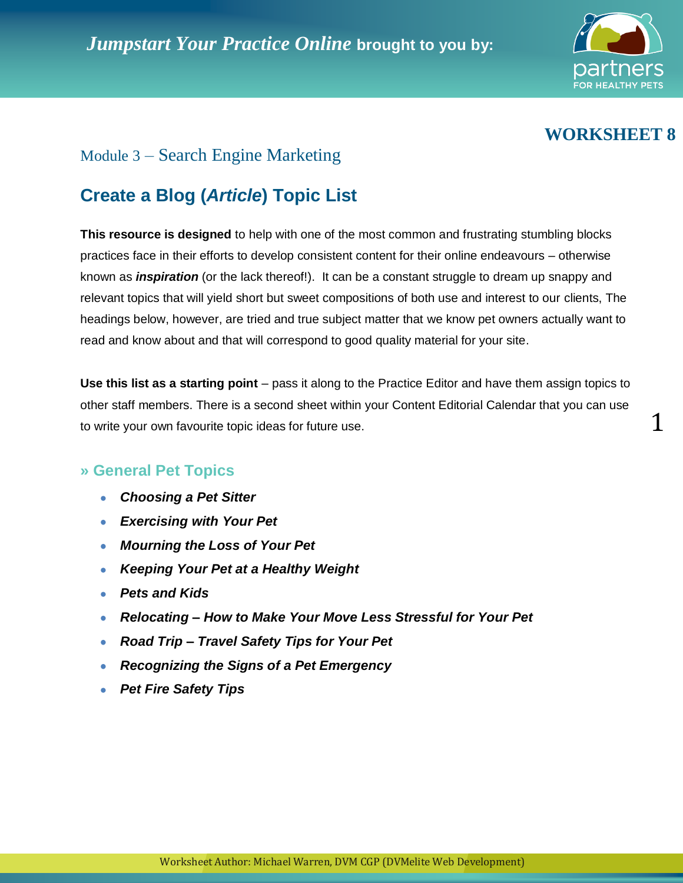

## **WORKSHEET 8**

1

## Module 3 – Search Engine Marketing

# **Create a Blog (***Article***) Topic List**

**This resource is designed** to help with one of the most common and frustrating stumbling blocks practices face in their efforts to develop consistent content for their online endeavours – otherwise known as *inspiration* (or the lack thereof!). It can be a constant struggle to dream up snappy and relevant topics that will yield short but sweet compositions of both use and interest to our clients, The headings below, however, are tried and true subject matter that we know pet owners actually want to read and know about and that will correspond to good quality material for your site.

**Use this list as a starting point** – pass it along to the Practice Editor and have them assign topics to other staff members. There is a second sheet within your Content Editorial Calendar that you can use to write your own favourite topic ideas for future use.

#### **» General Pet Topics**

- *Choosing a Pet Sitter*
- *Exercising with Your Pet*
- *Mourning the Loss of Your Pet*
- *Keeping Your Pet at a Healthy Weight*  $\bullet$
- *Pets and Kids*  $\bullet$
- *Relocating – How to Make Your Move Less Stressful for Your Pet*  $\bullet$
- *Road Trip – Travel Safety Tips for Your Pet*  $\bullet$
- *Recognizing the Signs of a Pet Emergency*  $\bullet$
- *Pet Fire Safety Tips*